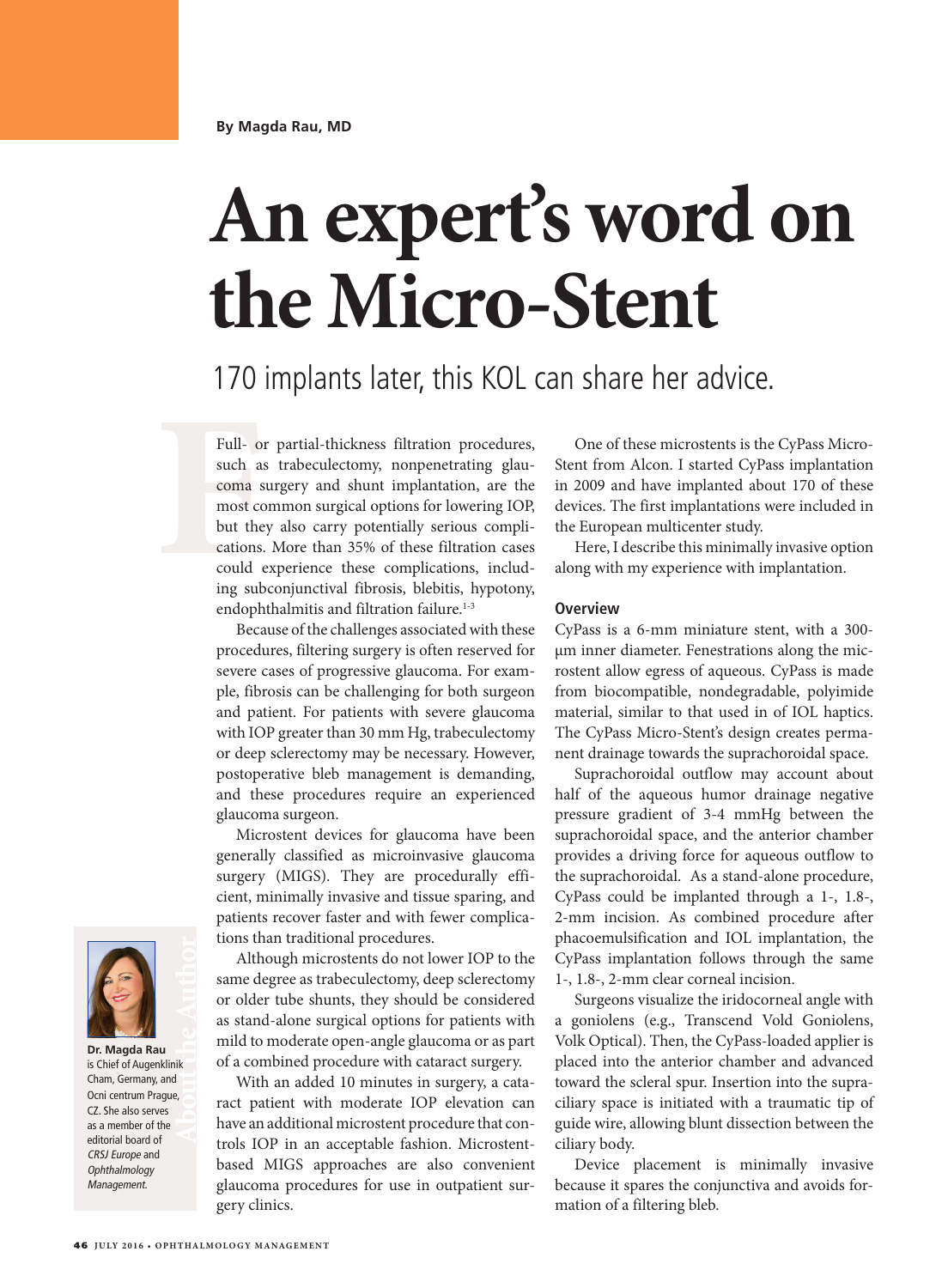# **An expert's word on the Micro-Stent**

## 170 implants later, this KOL can share her advice.

Full-0:<br>such as<br>coma s<br>most cc<br>but the<br>cations.<br>could (<br>ing sub Full- or partial-thickness filtration procedures, such as trabeculectomy, nonpenetrating glaucoma surgery and shunt implantation, are the most common surgical options for lowering IOP, but they also carry potentially serious complications. More than 35% of these filtration cases could experience these complications, including subconjunctival fibrosis, blebitis, hypotony, endophthalmitis and filtration failure.<sup>1-3</sup>

> Because of the challenges associated with these procedures, filtering surgery is often reserved for severe cases of progressive glaucoma. For example, fibrosis can be challenging for both surgeon and patient. For patients with severe glaucoma with IOP greater than 30 mm Hg, trabeculectomy or deep sclerectomy may be necessary. However, postoperative bleb management is demanding, and these procedures require an experienced glaucoma surgeon.

> Microstent devices for glaucoma have been generally classified as microinvasive glaucoma surgery (MIGS). They are procedurally efficient, minimally invasive and tissue sparing, and patients recover faster and with fewer complications than traditional procedures.

> Although microstents do not lower IOP to the same degree as trabeculectomy, deep sclerectomy or older tube shunts, they should be considered as stand-alone surgical options for patients with mild to moderate open-angle glaucoma or as part of a combined procedure with cataract surgery.

> With an added 10 minutes in surgery, a cataract patient with moderate IOP elevation can have an additional microstent procedure that controls IOP in an acceptable fashion. Microstentbased MIGS approaches are also convenient glaucoma procedures for use in outpatient surgery clinics.

One of these microstents is the CyPass Micro-Stent from Alcon. I started CyPass implantation in 2009 and have implanted about 170 of these devices. The first implantations were included in the European multicenter study.

Here, I describe this minimally invasive option along with my experience with implantation.

#### **Overview**

CyPass is a 6-mm miniature stent, with a 300 µm inner diameter. Fenestrations along the microstent allow egress of aqueous. CyPass is made from biocompatible, nondegradable, polyimide material, similar to that used in of IOL haptics. The CyPass Micro-Stent's design creates permanent drainage towards the suprachoroidal space.

Suprachoroidal outflow may account about half of the aqueous humor drainage negative pressure gradient of 3-4 mmHg between the suprachoroidal space, and the anterior chamber provides a driving force for aqueous outflow to the suprachoroidal. As a stand-alone procedure, CyPass could be implanted through a 1-, 1.8-, 2-mm incision. As combined procedure after phacoemulsification and IOL implantation, the CyPass implantation follows through the same 1-, 1.8-, 2-mm clear corneal incision.

Surgeons visualize the iridocorneal angle with a goniolens (e.g., Transcend Vold Goniolens, Volk Optical). Then, the CyPass-loaded applier is placed into the anterior chamber and advanced toward the scleral spur. Insertion into the supraciliary space is initiated with a traumatic tip of guide wire, allowing blunt dissection between the ciliary body.

Device placement is minimally invasive because it spares the conjunctiva and avoids formation of a filtering bleb.



**About the Author Dr. Magda Rau** is Chief of Augenklinik Cham, Germany, and Ocni centrum Prague, CZ. She also serves as a member of the editorial board of CRSJ Europe and Ophthalmology Management.